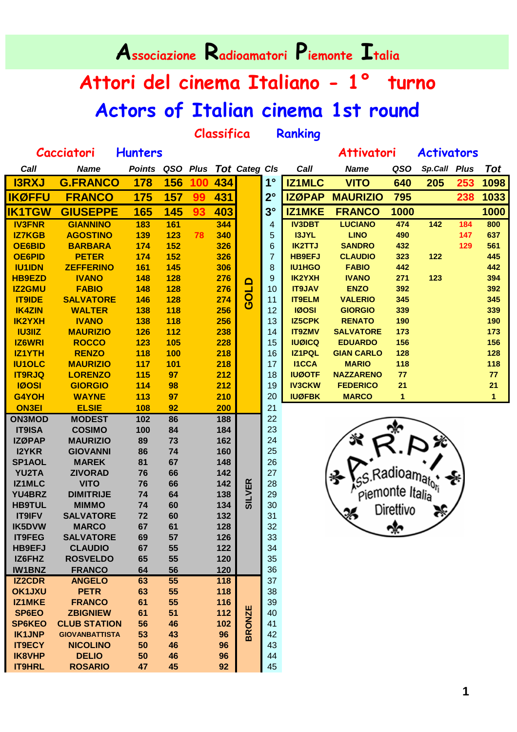| Associazione Radioamatori Piemonte Italia |                                   |                |                 |     |                      |                   |                |                                |                                    |                        |                   |     |                      |
|-------------------------------------------|-----------------------------------|----------------|-----------------|-----|----------------------|-------------------|----------------|--------------------------------|------------------------------------|------------------------|-------------------|-----|----------------------|
| Attori del cinema Italiano - 1º<br>turno  |                                   |                |                 |     |                      |                   |                |                                |                                    |                        |                   |     |                      |
|                                           |                                   |                |                 |     |                      |                   |                |                                | Actors of Italian cinema 1st round |                        |                   |     |                      |
| Classifica<br>Ranking                     |                                   |                |                 |     |                      |                   |                |                                |                                    |                        |                   |     |                      |
|                                           | <b>Cacciatori</b>                 | <b>Hunters</b> |                 |     |                      |                   |                |                                | <b>Attivatori</b>                  |                        | <b>Activators</b> |     |                      |
| Call                                      | <b>Name</b>                       | <b>Points</b>  | QSO Plus        |     | <b>Tot Categ CIs</b> |                   |                | Call                           | <b>Name</b>                        | QSO                    | Sp.Call Plus      |     | <b>Tot</b>           |
| <b>I3RXJ</b>                              | <b>G.FRANCO</b>                   | 178            | 156             | 100 | 434                  |                   | $1^{\circ}$    | <b>IZ1MLC</b>                  | <b>VITO</b>                        | 640                    | 205               | 253 | 1098                 |
| <b>IKØFFU</b>                             | <b>FRANCO</b>                     | 175            | 157             | 99  | 431                  |                   | $2^{\circ}$    | <b>IZØPAP</b>                  | <b>MAURIZIO</b>                    | 795                    |                   | 238 | 1033                 |
| <b>IK1TGW</b>                             | <b>GIUSEPPE</b>                   | 165            | 145             | 93  | 403                  |                   | 3 <sup>°</sup> | <b>IZ1MKE</b>                  | <b>FRANCO</b>                      | 1000                   |                   |     | 1000                 |
| <b>IV3FNR</b>                             | <b>GIANNINO</b>                   | 183            | 161             |     | 344                  |                   | 4              | <b>IV3DBT</b>                  | <b>LUCIANO</b>                     | 474                    | $\frac{142}{142}$ | 184 | 800                  |
| <b>IZ7KGB</b>                             | <b>AGOSTINO</b>                   | 139            | 123             | 78  | 340                  |                   | 5              | <b>I3JYL</b>                   | <b>LINO</b>                        | 490                    |                   | 147 | 637                  |
| <b>OE6BID</b>                             | <b>BARBARA</b>                    | 174            | 152             |     | 326                  |                   | 6              | <b>IK2TTJ</b>                  | <b>SANDRO</b>                      | 432                    |                   | 129 | 561                  |
| <b>OE6PID</b>                             | <b>PETER</b>                      | 174            | 152             |     | 326                  |                   | $\overline{7}$ | <b>HB9EFJ</b>                  | <b>CLAUDIO</b>                     | 323                    | 122               |     | 445                  |
| <b>IU1IDN</b>                             | <b>ZEFFERINO</b>                  | 161            | 145             |     | 306                  |                   | 8              | <b>IU1HGO</b>                  | <b>FABIO</b>                       | 442                    |                   |     | 442                  |
| <b>HB9EZD</b>                             | <b>IVANO</b>                      | 148            | 128             |     | 276                  | $\mathbf{\Omega}$ | 9              | <b>IK2YXH</b>                  | <b>IVANO</b>                       | 271                    | 123               |     | 394                  |
| <b>IZ2GMU</b>                             | <b>FABIO</b>                      | 148            | 128             |     | 276                  | <b>LIOS</b>       | 10             | <b>IT9JAV</b>                  | <b>ENZO</b>                        | 392                    |                   |     | 392                  |
| <b>IT9IDE</b>                             | <b>SALVATORE</b>                  | 146            | 128             |     | 274                  |                   | 11             | <b>IT9ELM</b>                  | <b>VALERIO</b>                     | 345                    |                   |     | 345                  |
| <b>IK4ZIN</b>                             | <b>WALTER</b>                     | 138            | 118             |     | 256                  |                   | 12             | <b>IØOSI</b>                   | <b>GIORGIO</b>                     | 339                    |                   |     | 339                  |
| <b>IK2YXH</b>                             | <b>IVANO</b>                      | 138            | 118             |     | 256                  |                   | 13             | <b>IZ5CPK</b>                  | <b>RENATO</b>                      | 190                    |                   |     | 190                  |
| <b>IU3IIZ</b>                             | <b>MAURIZIO</b>                   | 126            | 112             |     | 238                  |                   | 14             | <b>IT9ZMV</b>                  | <b>SALVATORE</b>                   | 173                    |                   |     | 173                  |
| <b>IZ6WRI</b>                             | <b>ROCCO</b>                      | 123            | 105             |     | 228                  |                   | 15             | <b>IUØICQ</b><br><b>IZ1PQL</b> | <b>EDUARDO</b>                     | 156                    |                   |     | 156                  |
| <b>IZ1YTH</b>                             | <b>RENZO</b>                      | 118            | 100             |     | 218                  |                   | 16             | <b>I1CCA</b>                   | <b>GIAN CARLO</b>                  | 128                    |                   |     | 128                  |
| <b>IU1OLC</b><br><b>IT9RJQ</b>            | <b>MAURIZIO</b><br><b>LORENZO</b> | 117<br>115     | 101<br>97       |     | 218<br>212           |                   | 17<br>18       | <b>IUØOTF</b>                  | <b>MARIO</b><br><b>NAZZARENO</b>   | 118<br>77              |                   |     | 118<br>77            |
| <b>IØOSI</b>                              | <b>GIORGIO</b>                    | 114            | 98              |     | 212                  |                   | 19             | <b>IV3CKW</b>                  | <b>FEDERICO</b>                    | 21                     |                   |     | 21                   |
| <b>G4YOH</b>                              | <b>WAYNE</b>                      | 113            | 97              |     | 210                  |                   | 20             | <b>IUØFBK</b>                  | <b>MARCO</b>                       | 1                      |                   |     | $\blacktriangleleft$ |
| <b>ON3EI</b>                              | <b>ELSIE</b>                      | 108            | 92              |     | 200                  |                   | 21             |                                |                                    |                        |                   |     |                      |
| <b>ON3MOD</b>                             | <b>MODEST</b>                     | 102            | 86              |     | 188                  |                   | 22             |                                |                                    |                        |                   |     |                      |
| <b>IT9ISA</b>                             | <b>COSIMO</b>                     | 100            | 84              |     | 184                  |                   | 23             |                                |                                    | ∾                      |                   |     |                      |
| <b>IZØPAP</b>                             | <b>MAURIZIO</b>                   | 89             | 73              |     | 162                  |                   | 24             |                                |                                    |                        |                   |     |                      |
| <b>I2YKR</b>                              | <b>GIOVANNI</b>                   | 86             | 74              |     | 160                  |                   | 25             |                                |                                    |                        |                   |     |                      |
| SP1AOL                                    | <b>MAREK</b>                      | 81             | 67              |     | 148                  |                   | 26             |                                |                                    |                        |                   |     |                      |
| YU2TA                                     | <b>ZIVORAD</b>                    | 76             | 66              |     | 142                  |                   | 27             |                                |                                    |                        |                   |     |                      |
| <b>IZ1MLC</b>                             | <b>VITO</b>                       | 76             | 66              |     | 142                  |                   | 28             |                                |                                    | adioam <sub>ator</sub> |                   |     |                      |
| YU4BRZ                                    | <b>DIMITRIJE</b>                  | 74             | 64              |     | 138                  | <b>SILVER</b>     | 29             |                                |                                    | piemonte Italia        |                   |     |                      |
| <b>HB9TUL</b>                             | <b>MIMMO</b>                      | 74             | 60              |     | 134                  |                   | 30             |                                |                                    | Direttivo              |                   |     |                      |
| <b>IT9IFV</b>                             | <b>SALVATORE</b>                  | 72             | 60              |     | 132                  |                   | 31             |                                |                                    |                        |                   |     |                      |
| <b>IK5DVW</b>                             | <b>MARCO</b>                      | 67             | 61              |     | 128                  |                   | 32             |                                |                                    |                        |                   |     |                      |
| <b>IT9FEG</b>                             | <b>SALVATORE</b>                  | 69             | 57              |     | 126                  |                   | 33             |                                |                                    |                        |                   |     |                      |
| <b>HB9EFJ</b>                             | <b>CLAUDIO</b>                    | 67             | 55              |     | 122                  |                   | 34             |                                |                                    |                        |                   |     |                      |
| IZ6FHZ                                    | <b>ROSVELDO</b>                   | 65             | 55              |     | 120                  |                   | 35             |                                |                                    |                        |                   |     |                      |
| <b>IW1BNZ</b>                             | <b>FRANCO</b>                     | 64             | 56              |     | 120                  |                   | 36             |                                |                                    |                        |                   |     |                      |
| <b>IZ2CDR</b>                             | <b>ANGELO</b>                     | 63             | $\overline{55}$ |     | 118                  |                   | 37             |                                |                                    |                        |                   |     |                      |
| <b>OK1JXU</b>                             | <b>PETR</b>                       | 63             | 55              |     | 118                  |                   | 38             |                                |                                    |                        |                   |     |                      |
| IZ1MKE                                    | <b>FRANCO</b>                     | 61             | 55              |     | 116                  |                   | 39             |                                |                                    |                        |                   |     |                      |
| SP6EO                                     | <b>ZBIGNIEW</b>                   | 61             | 51              |     | 112                  | <b>BRONZE</b>     | 40             |                                |                                    |                        |                   |     |                      |
| <b>SP6KEO</b>                             | <b>CLUB STATION</b>               | 56             | 46              |     | 102                  |                   | 41             |                                |                                    |                        |                   |     |                      |
| <b>IK1JNP</b>                             | <b>GIOVANBATTISTA</b>             | 53             | 43              |     | 96                   |                   | 42             |                                |                                    |                        |                   |     |                      |
| <b>IT9ECY</b>                             | <b>NICOLINO</b>                   | 50             | 46              |     | 96                   |                   | 43             |                                |                                    |                        |                   |     |                      |
| <b>IK8VHP</b>                             | <b>DELIO</b>                      | 50             | 46              |     | 96                   |                   | 44             |                                |                                    |                        |                   |     |                      |
| <b>IT9HRL</b>                             | <b>ROSARIO</b>                    | 47             | 45              |     | 92                   |                   | 45             |                                |                                    |                        |                   |     |                      |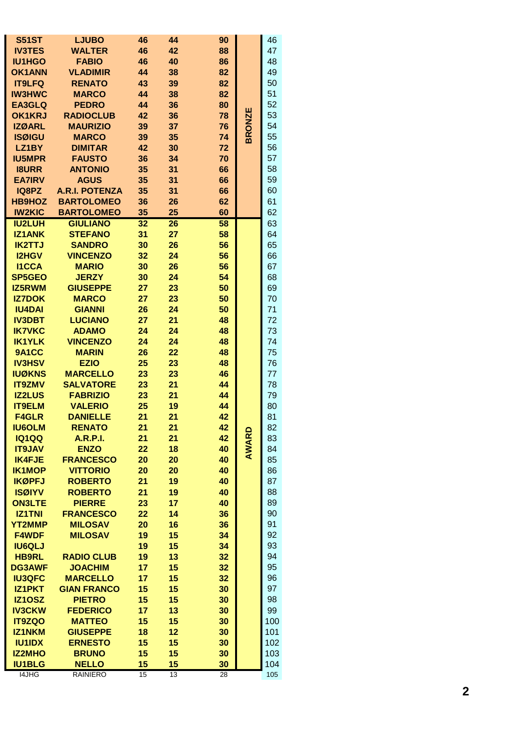| <b>S51ST</b>  | <b>LJUBO</b>          | 46 | 44 | 90 |              | 46  |
|---------------|-----------------------|----|----|----|--------------|-----|
|               |                       | 46 | 42 |    |              | 47  |
| <b>IV3TES</b> | <b>WALTER</b>         |    |    | 88 |              |     |
| <b>IU1HGO</b> | <b>FABIO</b>          | 46 | 40 | 86 |              | 48  |
| <b>OK1ANN</b> | <b>VLADIMIR</b>       | 44 | 38 | 82 |              | 49  |
| <b>IT9LFQ</b> | <b>RENATO</b>         | 43 | 39 | 82 |              | 50  |
| <b>IW3HWC</b> | <b>MARCO</b>          | 44 | 38 | 82 |              | 51  |
| <b>EA3GLQ</b> | <b>PEDRO</b>          | 44 | 36 | 80 |              | 52  |
| <b>OK1KRJ</b> | <b>RADIOCLUB</b>      | 42 | 36 | 78 | ш            | 53  |
| <b>IZØARL</b> | <b>MAURIZIO</b>       | 39 | 37 | 76 |              | 54  |
|               |                       |    |    |    | <b>BRONZ</b> |     |
| <b>ISØIGU</b> | <b>MARCO</b>          | 39 | 35 | 74 |              | 55  |
| LZ1BY         | <b>DIMITAR</b>        | 42 | 30 | 72 |              | 56  |
| <b>IU5MPR</b> | <b>FAUSTO</b>         | 36 | 34 | 70 |              | 57  |
| <b>I8URR</b>  | <b>ANTONIO</b>        | 35 | 31 | 66 |              | 58  |
| <b>EA7IRV</b> | <b>AGUS</b>           | 35 | 31 | 66 |              | 59  |
| IQ8PZ         | <b>A.R.I. POTENZA</b> | 35 | 31 | 66 |              | 60  |
| <b>HB9HOZ</b> | <b>BARTOLOMEO</b>     | 36 | 26 | 62 |              | 61  |
| <b>IW2KIC</b> | <b>BARTOLOMEO</b>     |    | 25 | 60 |              | 62  |
|               |                       | 35 |    |    |              |     |
| <b>IU2LUH</b> | <b>GIULIANO</b>       | 32 | 26 | 58 |              | 63  |
| <b>IZ1ANK</b> | <b>STEFANO</b>        | 31 | 27 | 58 |              | 64  |
| <b>IK2TTJ</b> | <b>SANDRO</b>         | 30 | 26 | 56 |              | 65  |
| <b>I2HGV</b>  | <b>VINCENZO</b>       | 32 | 24 | 56 |              | 66  |
| <b>I1CCA</b>  | <b>MARIO</b>          | 30 | 26 | 56 |              | 67  |
| <b>SP5GEO</b> | <b>JERZY</b>          | 30 | 24 | 54 |              | 68  |
| <b>IZ5RWM</b> | <b>GIUSEPPE</b>       | 27 | 23 | 50 |              | 69  |
|               |                       |    |    |    |              |     |
| <b>IZ7DOK</b> | <b>MARCO</b>          | 27 | 23 | 50 |              | 70  |
| <b>IU4DAI</b> | <b>GIANNI</b>         | 26 | 24 | 50 |              | 71  |
| <b>IV3DBT</b> | <b>LUCIANO</b>        | 27 | 21 | 48 |              | 72  |
| <b>IK7VKC</b> | <b>ADAMO</b>          | 24 | 24 | 48 |              | 73  |
| <b>IK1YLK</b> | <b>VINCENZO</b>       | 24 | 24 | 48 |              | 74  |
| 9A1CC         | <b>MARIN</b>          | 26 | 22 | 48 |              | 75  |
| <b>IV3HSV</b> | <b>EZIO</b>           | 25 | 23 | 48 |              | 76  |
| <b>IUØKNS</b> | <b>MARCELLO</b>       |    |    | 46 |              |     |
|               |                       | 23 | 23 |    |              | 77  |
| <b>IT9ZMV</b> | <b>SALVATORE</b>      | 23 | 21 | 44 |              | 78  |
| <b>IZ2LUS</b> | <b>FABRIZIO</b>       | 23 | 21 | 44 |              | 79  |
| <b>IT9ELM</b> | <b>VALERIO</b>        | 25 | 19 | 44 |              | 80  |
| <b>F4GLR</b>  | <b>DANIELLE</b>       | 21 | 21 | 42 |              | 81  |
| <b>IU6OLM</b> | <b>RENATO</b>         | 21 | 21 | 42 |              | 82  |
| <b>IQ1QQ</b>  | <b>A.R.P.I.</b>       | 21 | 21 | 42 |              | 83  |
| <b>IT9JAV</b> | <b>ENZO</b>           | 22 | 18 | 40 | AWARD        | 84  |
|               | <b>FRANCESCO</b>      | 20 | 20 | 40 |              | 85  |
| <b>IK4FJE</b> |                       |    |    |    |              |     |
| <b>IK1MOP</b> | <b>VITTORIO</b>       | 20 | 20 | 40 |              | 86  |
| <b>IKØPFJ</b> | <b>ROBERTO</b>        | 21 | 19 | 40 |              | 87  |
| <b>ISØIYV</b> | <b>ROBERTO</b>        | 21 | 19 | 40 |              | 88  |
| <b>ON3LTE</b> | <b>PIERRE</b>         | 23 | 17 | 40 |              | 89  |
| <b>IZ1TNI</b> | <b>FRANCESCO</b>      | 22 | 14 | 36 |              | 90  |
| <b>YT2MMP</b> | <b>MILOSAV</b>        | 20 | 16 | 36 |              | 91  |
| <b>F4WDF</b>  | <b>MILOSAV</b>        | 19 | 15 | 34 |              | 92  |
| <b>IU6QLJ</b> |                       | 19 | 15 | 34 |              | 93  |
|               |                       |    |    |    |              |     |
| <b>HB9RL</b>  | <b>RADIO CLUB</b>     | 19 | 13 | 32 |              | 94  |
| <b>DG3AWF</b> | <b>JOACHIM</b>        | 17 | 15 | 32 |              | 95  |
| <b>IU3QFC</b> | <b>MARCELLO</b>       | 17 | 15 | 32 |              | 96  |
| <b>IZ1PKT</b> | <b>GIAN FRANCO</b>    | 15 | 15 | 30 |              | 97  |
| <b>IZ10SZ</b> | <b>PIETRO</b>         | 15 | 15 | 30 |              | 98  |
| <b>IV3CKW</b> | <b>FEDERICO</b>       | 17 | 13 | 30 |              | 99  |
| <b>IT9ZQO</b> | <b>MATTEO</b>         | 15 | 15 | 30 |              | 100 |
| <b>IZ1NKM</b> | <b>GIUSEPPE</b>       | 18 | 12 | 30 |              | 101 |
|               |                       |    |    |    |              |     |
| <b>IU1IDX</b> | <b>ERNESTO</b>        | 15 | 15 | 30 |              | 102 |
| <b>IZ2MHO</b> | <b>BRUNO</b>          | 15 | 15 | 30 |              | 103 |
| <b>IU1BLG</b> | <b>NELLO</b>          | 15 | 15 | 30 |              | 104 |
| I4JHG         | <b>RAINIERO</b>       | 15 | 13 | 28 |              | 105 |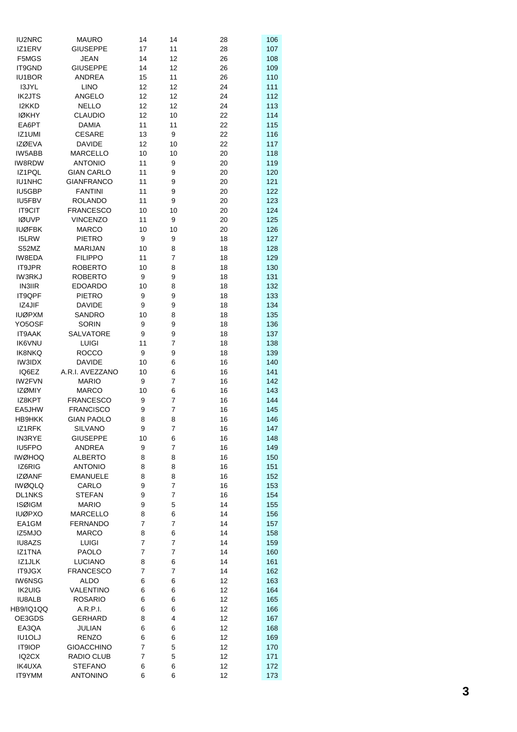| IU2NRC                         | <b>MAURO</b>                     | 14       | 14     | 28       | 106        |
|--------------------------------|----------------------------------|----------|--------|----------|------------|
| IZ1ERV                         | <b>GIUSEPPE</b>                  | 17       | 11     | 28       | 107        |
| F5MGS                          | <b>JEAN</b>                      | 14       | 12     | 26       | 108        |
| IT9GND                         | <b>GIUSEPPE</b>                  | 14       | 12     | 26       | 109        |
| IU1BOR                         | <b>ANDREA</b>                    | 15       | 11     | 26       | 110        |
| I3JYL                          | <b>LINO</b>                      | 12       | 12     | 24       | 111        |
| <b>IK2JTS</b>                  | ANGELO                           | 12       | 12     | 24       | 112        |
| I2KKD                          | <b>NELLO</b>                     | 12       | 12     | 24       | 113        |
| <b>IØKHY</b>                   | <b>CLAUDIO</b>                   | 12       | 10     | 22       | 114        |
| EA6PT                          | <b>DAMIA</b>                     | 11       | 11     | 22       | 115        |
| IZ1UMI                         | <b>CESARE</b>                    | 13       | 9      | 22       | 116        |
| <b>IZØEVA</b>                  | <b>DAVIDE</b>                    | 12       | 10     | 22       | 117        |
| IW5ABB                         | <b>MARCELLO</b>                  | 10       | 10     | 20       | 118        |
| <b>IW8RDW</b>                  | <b>ANTONIO</b>                   | 11       | 9      | 20       | 119        |
| IZ1PQL                         | <b>GIAN CARLO</b>                | 11       | 9      | 20       | 120        |
| IU1NHC                         | <b>GIANFRANCO</b>                | 11       | 9      | 20       | 121        |
| IU5GBP                         | <b>FANTINI</b>                   | 11       | 9      | 20       | 122        |
| IU5FBV                         | <b>ROLANDO</b>                   | 11       | 9      | 20       | 123        |
| <b>IT9CIT</b>                  | <b>FRANCESCO</b>                 | 10       | 10     | 20       | 124        |
| <b>IØUVP</b>                   | <b>VINCENZO</b>                  | 11       | 9      | 20       | 125        |
| <b>IUØFBK</b>                  | <b>MARCO</b>                     | 10       | 10     | 20       | 126        |
| I5LRW                          | <b>PIETRO</b>                    | 9        | 9      | 18       | 127<br>128 |
| S52MZ<br>IW8EDA                | <b>MARIJAN</b><br><b>FILIPPO</b> | 10<br>11 | 8<br>7 | 18       |            |
|                                | <b>ROBERTO</b>                   |          |        | 18       | 129        |
| <b>IT9JPR</b><br><b>IW3RKJ</b> | <b>ROBERTO</b>                   | 10<br>9  | 8<br>9 | 18<br>18 | 130<br>131 |
| <b>IN3IIR</b>                  | <b>EDOARDO</b>                   | 10       | 8      | 18       | 132        |
| IT9QPF                         | PIETRO                           | 9        | 9      | 18       | 133        |
| IZ4JIF                         | <b>DAVIDE</b>                    | 9        | 9      | 18       | 134        |
| <b>IUØPXM</b>                  | <b>SANDRO</b>                    | 10       | 8      | 18       | 135        |
| YO5OSF                         | <b>SORIN</b>                     | 9        | 9      | 18       | 136        |
| IT9AAK                         | SALVATORE                        | 9        | 9      | 18       | 137        |
| <b>IK6VNU</b>                  | LUIGI                            | 11       | 7      | 18       | 138        |
| <b>IK8NKQ</b>                  | <b>ROCCO</b>                     | 9        | 9      | 18       | 139        |
| IW3IDX                         | <b>DAVIDE</b>                    | 10       | 6      | 16       | 140        |
| IQ6EZ                          | A.R.I. AVEZZANO                  | 10       | 6      | 16       | 141        |
| IW2FVN                         | <b>MARIO</b>                     | 9        | 7      | 16       | 142        |
| <b>IZØMIY</b>                  | <b>MARCO</b>                     | 10       | 6      | 16       | 143        |
| IZ8KPT                         | <b>FRANCESCO</b>                 | 9        | 7      | 16       | 144        |
| EA5JHW                         | <b>FRANCISCO</b>                 | 9        | 7      | 16       | 145        |
| <b>HB9HKK</b>                  | <b>GIAN PAOLO</b>                | 8        | 8      | 16       | 146        |
| IZ1RFK                         | SILVANO                          | 9        | 7      | 16       | 147        |
| <b>IN3RYE</b>                  | <b>GIUSEPPE</b>                  | 10       | 6      | 16       | 148        |
| IU5FPO                         | <b>ANDREA</b>                    | 9        | 7      | 16       | 149        |
| <b>IWØHOQ</b>                  | <b>ALBERTO</b>                   | 8        | 8      | 16       | 150        |
| IZ6RIG                         | <b>ANTONIO</b>                   | 8        | 8      | 16       | 151        |
| <b>IZØANF</b>                  | <b>EMANUELE</b>                  | 8        | 8      | 16       | 152        |
| <b>IWØQLQ</b>                  | CARLO                            | 9        | 7      | 16       | 153        |
| <b>DL1NKS</b>                  | <b>STEFAN</b>                    | 9        | 7      | 16       | 154        |
| <b>ISØIGM</b>                  | <b>MARIO</b>                     | 9        | 5      | 14       | 155        |
| <b>IUØPXO</b>                  | <b>MARCELLO</b>                  | 8        | 6      | 14       | 156        |
| EA1GM                          | <b>FERNANDO</b>                  | 7        | 7      | 14       | 157        |
| IZ5MJO                         | <b>MARCO</b>                     | 8        | 6      | 14       | 158        |
| IU8AZS                         | <b>LUIGI</b>                     | 7        | 7      | 14       | 159        |
| IZ1TNA                         | <b>PAOLO</b>                     | 7        | 7      | 14       | 160        |
| IZ1JLK                         | LUCIANO                          | 8        | 6      | 14       | 161        |
| <b>IT9JGX</b>                  | <b>FRANCESCO</b>                 | 7        | 7      | 14       | 162        |
| <b>IW6NSG</b>                  | ALDO                             | 6        | 6      | 12       | 163        |
| <b>IK2UIG</b>                  | VALENTINO                        | 6        | 6      | 12       | 164        |
| <b>IU8ALB</b>                  | <b>ROSARIO</b>                   | 6        | 6      | 12       | 165        |
| HB9/IQ1QQ                      | A.R.P.I.                         | 6        | 6      | 12       | 166        |
| OE3GDS                         | <b>GERHARD</b><br><b>JULIAN</b>  | 8        | 4      | 12       | 167        |
| EA3QA<br>IU1OLJ                | <b>RENZO</b>                     | 6<br>6   | 6<br>6 | 12<br>12 | 168<br>169 |
| <b>IT9IOP</b>                  | <b>GIOACCHINO</b>                | 7        | 5      | 12       | 170        |
| IQ <sub>2</sub> CX             | RADIO CLUB                       | 7        | 5      | 12       | 171        |
| <b>IK4UXA</b>                  | <b>STEFANO</b>                   | 6        | 6      | 12       | 172        |
| IT9YMM                         | <b>ANTONINO</b>                  | 6        | 6      | 12       | 173        |
|                                |                                  |          |        |          |            |